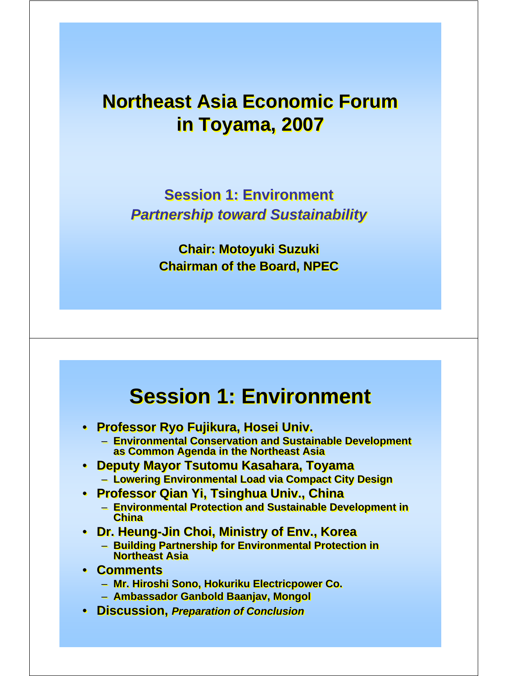#### **Northeast Asia Economic Forum Northeast Asia Economic Forum in Toyama, 2007 in Toyama, 2007**

**Session 1: Environment Session 1: Environment** *Partnership toward Sustainability Partnership toward Sustainability*

> **Chair: Motoyuki Suzuki Chair: Motoyuki Suzuki Chairman of the Board, NPEC Chairman of the Board, NPEC**

## **Session 1: Environment Session 1: Environment**

- **Professor Ryo Fujikura, Hosei Univ. Professor Ryo Fujikura, Hosei Univ.**
	- **Environmental Conservation and Sustainable Development Environmental Conservation and Sustainable Development as Common Agenda in the Northeast Asia as Common Agenda in the Northeast Asia**
- **Deputy Mayor Tsutomu Kasahara, Toyama Deputy Mayor Tsutomu Kasahara, Toyama** – **Lowering Environmental Load via Compact City Design** – **Lowering Environmental Load via Compact City Design**
- **Professor Qian Yi, Tsinghua Univ., China Professor Qian Yi, Tsinghua Univ., China**
	- **Environmental Protection and Sustainable Development in Environmental Protection and Sustainable Development in China China**
- **Dr. Heung-Jin Choi, Ministry of Env., Korea Dr. Heung-Jin Choi, Ministry of Env., Korea**
	- **Building Partnership for Environmental Protection in Building Partnership for Environmental Protection in Northeast Asia Northeast Asia**
- **Comments Comments**
	- **Mr. Hiroshi Sono, Hokuriku Electricpower Co. Mr. Hiroshi Sono, Hokuriku Electricpower Co.**
	- **Ambassador Ganbold Baanjav, Mongol Ambassador Ganbold Baanjav, Mongol**
- **Discussion,** *Preparation of Conclusion* **Discussion,** *Preparation of Conclusion*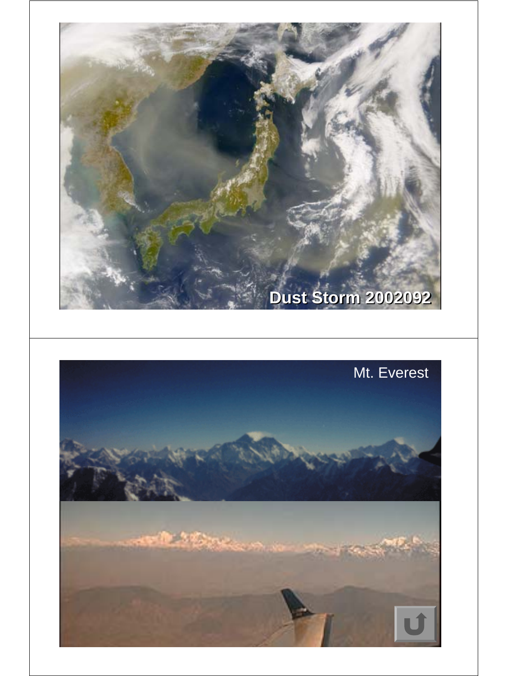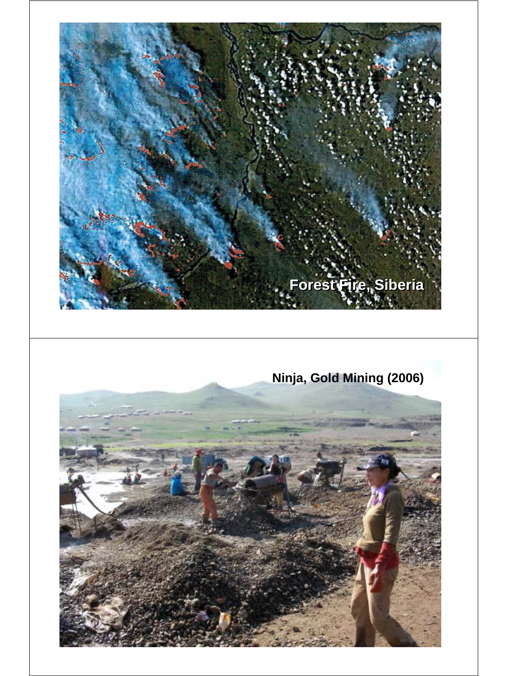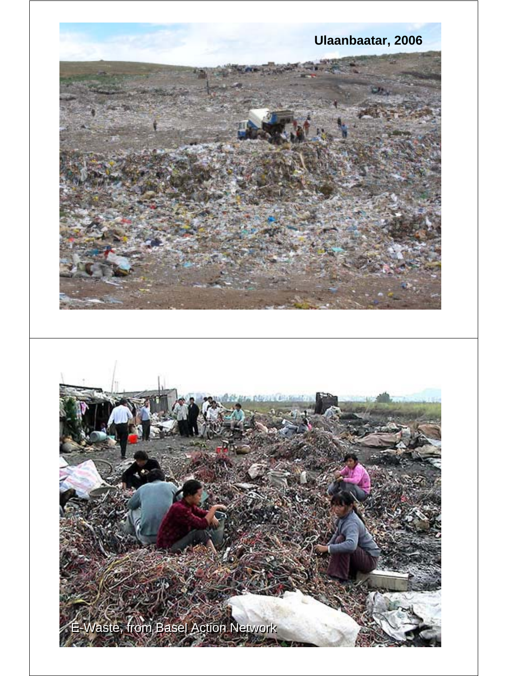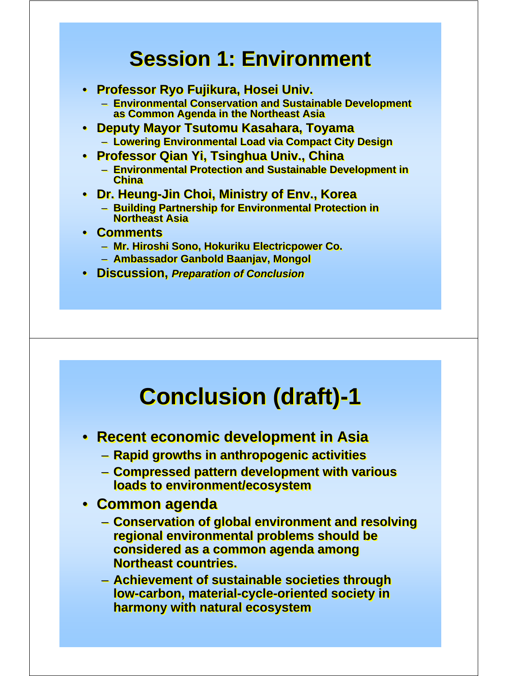## **Session 1: Environment Session 1: Environment**

- **Professor Ryo Fujikura, Hosei Univ. Professor Ryo Fujikura, Hosei Univ.**
	- **Environmental Conservation and Sustainable Development Environmental Conservation and Sustainable Development as Common Agenda in the Northeast Asia as Common Agenda in the Northeast Asia**
- **Deputy Mayor Tsutomu Kasahara, Toyama Deputy Mayor Tsutomu Kasahara, Toyama** – **Lowering Environmental Load via Compact City Design** – **Lowering Environmental Load via Compact City Design**
- **Professor Qian Yi, Tsinghua Univ., China Professor Qian Yi, Tsinghua Univ., China**
	- **Environmental Protection and Sustainable Development in Environmental Protection and Sustainable Development in China China**
- **Dr. Heung-Jin Choi, Ministry of Env., Korea Dr. Heung-Jin Choi, Ministry of Env., Korea** – **Building Partnership for Environmental Protection in**  – **Building Partnership for Environmental Protection in Northeast Asia Northeast Asia**
- **Comments Comments**
	- **Mr. Hiroshi Sono, Hokuriku Electricpower Co. Mr. Hiroshi Sono, Hokuriku Electricpower Co.**
	- **Ambassador Ganbold Baanjav, Mongol Ambassador Ganbold Baanjav, Mongol**
- **Discussion,** *Preparation of Conclusion* **Discussion,** *Preparation of Conclusion*

# **Conclusion (draft)-1 Conclusion (draft)-1**

- **Recent economic development in Asia Recent economic development in Asia**
	- **Rapid growths in anthropogenic activities Rapid growths in anthropogenic activities**
	- **Compressed pattern development with various Compressed pattern development with various loads to environment/ecosystem loads to environment/ecosystem**
- **Common agenda Common agenda**
	- **Conservation of global environment and resolving Conservation of global environment and resolving regional environmental problems should be regional environmental problems should be considered as a common agenda among considered as a common agenda among Northeast countries. Northeast countries.**
	- **Achievement of sustainable societies through Achievement of sustainable societies through low-carbon, material-cycle-oriented society in low-carbon, material-cycle-oriented society in harmony with natural ecosystem harmony with natural ecosystem**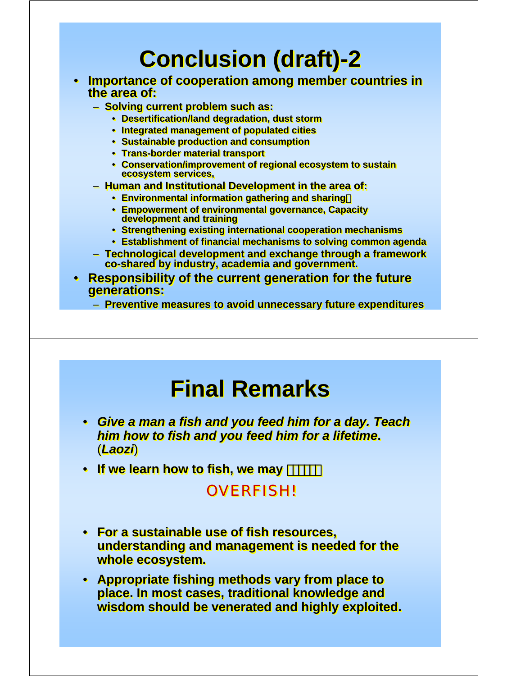# **Conclusion (draft)-2 Conclusion (draft)-2**

- **Importance of cooperation among member countries in Importance of cooperation among member countries in the area of: the area of:**
	- **Solving current problem such as: Solving current problem such as:**
		- **Desertification/land degradation, dust storm Desertification/land degradation, dust storm**
		- **Integrated management of populated cities Integrated management of populated cities**
		- **Sustainable production and consumption Sustainable production and consumption**
		- **Trans-border material transport Trans-border material transport**
		- **Conservation/improvement of regional ecosystem to sustain Conservation/improvement of regional ecosystem to sustain ecosystem services, ecosystem services,**
	- **Human and Institutional Development in the area of: Human and Institutional Development in the area of:**
		- **Environmental information gathering and sharing**, **Environmental information gathering and sharing**,
		- **Empowerment of environmental governance, Capacity Empowerment of environmental governance, Capacity development and training development and training**
		- **Strengthening existing international cooperation mechanisms Strengthening existing international cooperation mechanisms**
		- **Establishment of financial mechanisms to solving common agenda Establishment of financial mechanisms to solving common agenda**
	- **Technological development and exchange through a framework Technological development and exchange through a framework co-shared by industry, academia and government. co-shared by industry, academia and government.**
- **Responsibility of the current generation for the future Responsibility of the current generation for the future generations: generations:**
	- **Preventive measures to avoid unnecessary future expenditures Preventive measures to avoid unnecessary future expenditures**

## **Final Remarks**

- *Give a man a fish and you feed him for a day. Teach Give a man a fish and you feed him for a day. Teach him how to fish and you feed him for a lifetime***.** *him how to fish and you feed him for a lifetime***.** (*Laozi*) (*Laozi*)
- **If we learn how to fish, we may** ・・・・・・ **If we learn how to fish, we may** ・・・・・・

#### OVERFISH! OVERFISH!

- **For a sustainable use of fish resources, For a sustainable use of fish resources, understanding and management is needed for the understanding and management is needed for the whole ecosystem. whole ecosystem.**
- **Appropriate fishing methods vary from place to Appropriate fishing methods vary from place to place. In most cases, traditional knowledge and place. In most cases, traditional knowledge and wisdom should be venerated and highly exploited. wisdom should be venerated and highly exploited.**